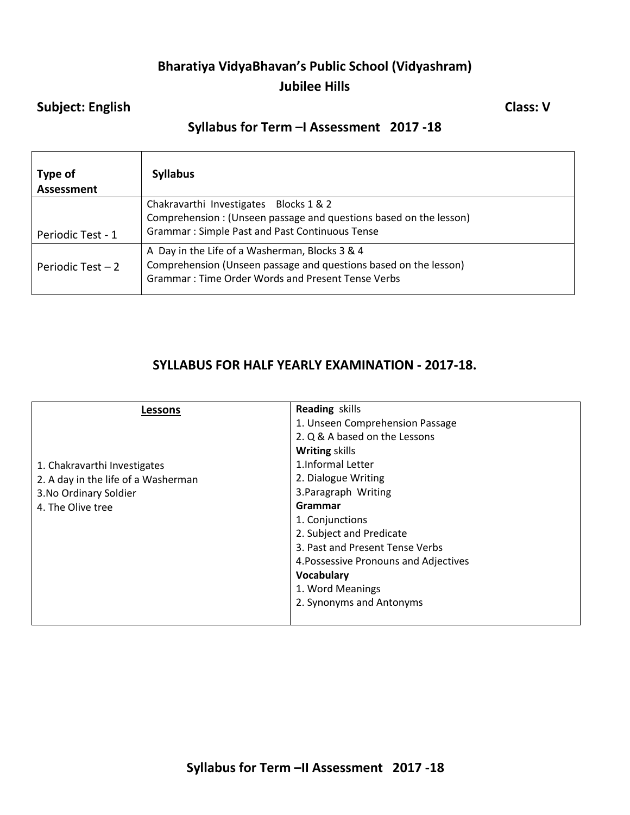# **Bharatiya VidyaBhavan's Public School (Vidyashram) Jubilee Hills**

### **Subject: English Class: V**

# **Syllabus for Term –I Assessment 2017 -18**

| Type of<br>Assessment                   | <b>Syllabus</b>                                                                                                                                                         |
|-----------------------------------------|-------------------------------------------------------------------------------------------------------------------------------------------------------------------------|
|                                         | Chakravarthi Investigates Blocks 1 & 2<br>Comprehension: (Unseen passage and questions based on the lesson)<br><b>Grammar: Simple Past and Past Continuous Tense</b>    |
| Periodic Test - 1<br>Periodic Test $-2$ | A Day in the Life of a Washerman, Blocks 3 & 4<br>Comprehension (Unseen passage and questions based on the lesson)<br>Grammar: Time Order Words and Present Tense Verbs |

## **SYLLABUS FOR HALF YEARLY EXAMINATION - 2017-18.**

| Lessons                             | <b>Reading skills</b>                 |
|-------------------------------------|---------------------------------------|
|                                     | 1. Unseen Comprehension Passage       |
|                                     | 2. Q & A based on the Lessons         |
|                                     | <b>Writing skills</b>                 |
| 1. Chakravarthi Investigates        | 1. Informal Letter                    |
| 2. A day in the life of a Washerman | 2. Dialogue Writing                   |
| 3. No Ordinary Soldier              | 3. Paragraph Writing                  |
| 4. The Olive tree                   | Grammar                               |
|                                     | 1. Conjunctions                       |
|                                     | 2. Subject and Predicate              |
|                                     | 3. Past and Present Tense Verbs       |
|                                     | 4. Possessive Pronouns and Adjectives |
|                                     | Vocabulary                            |
|                                     | 1. Word Meanings                      |
|                                     | 2. Synonyms and Antonyms              |
|                                     |                                       |